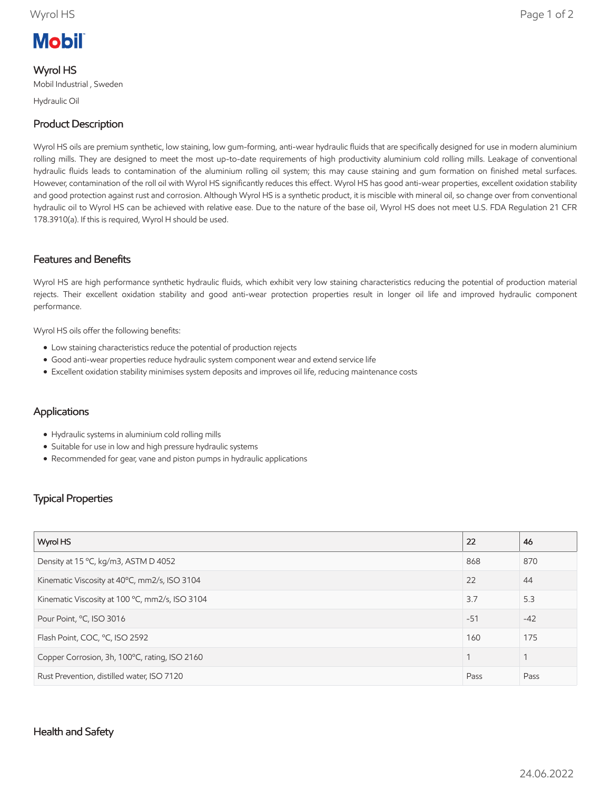# **Mobil**

#### Wyrol HS

Mobil Industrial , Sweden

Hydraulic Oil

# Product Description

Wyrol HS oils are premium synthetic, low staining, low gum-forming, anti-wear hydraulic fluids that are specifically designed for use in modern aluminium rolling mills. They are designed to meet the most up-to-date requirements of high productivity aluminium cold rolling mills. Leakage of conventional hydraulic fluids leads to contamination of the aluminium rolling oil system; this may cause staining and gum formation on finished metal surfaces. However, contamination of the roll oil with Wyrol HS significantly reduces this effect. Wyrol HS has good anti-wear properties, excellent oxidation stability and good protection against rust and corrosion. Although Wyrol HS is a synthetic product, it is miscible with mineral oil, so change over from conventional hydraulic oil to Wyrol HS can be achieved with relative ease. Due to the nature of the base oil, Wyrol HS does not meet U.S. FDA Regulation 21 CFR 178.3910(a). If this is required, Wyrol H should be used.

### Features and Benefits

Wyrol HS are high performance synthetic hydraulic fluids, which exhibit very low staining characteristics reducing the potential of production material rejects. Their excellent oxidation stability and good anti-wear protection properties result in longer oil life and improved hydraulic component performance.

Wyrol HS oils offer the following benefits:

- Low staining characteristics reduce the potential of production rejects
- Good anti-wear properties reduce hydraulic system component wear and extend service life
- Excellent oxidation stability minimises system deposits and improves oil life, reducing maintenance costs

# Applications

- Hydraulic systems in aluminium cold rolling mills
- Suitable for use in low and high pressure hydraulic systems
- Recommended for gear, vane and piston pumps in hydraulic applications

# Typical Properties

| Wyrol HS                                       | 22    | 46    |
|------------------------------------------------|-------|-------|
| Density at 15 °C, kg/m3, ASTM D 4052           | 868   | 870   |
| Kinematic Viscosity at 40°C, mm2/s, ISO 3104   | 22    | 44    |
| Kinematic Viscosity at 100 °C, mm2/s, ISO 3104 | 3.7   | 5.3   |
| Pour Point, °C, ISO 3016                       | $-51$ | $-42$ |
| Flash Point, COC, °C, ISO 2592                 | 160   | 175   |
| Copper Corrosion, 3h, 100°C, rating, ISO 2160  |       | 1     |
| Rust Prevention, distilled water, ISO 7120     | Pass  | Pass  |